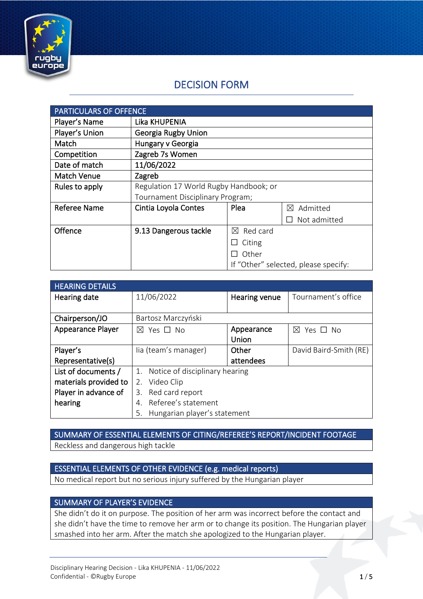

# DECISION FORM

| <b>PARTICULARS OF OFFENCE</b> |                                        |                                      |                         |
|-------------------------------|----------------------------------------|--------------------------------------|-------------------------|
| Player's Name                 | Lika KHUPENIA                          |                                      |                         |
| Player's Union                | Georgia Rugby Union                    |                                      |                         |
| Match                         | Hungary v Georgia                      |                                      |                         |
| Competition                   | Zagreb 7s Women                        |                                      |                         |
| Date of match                 | 11/06/2022                             |                                      |                         |
| <b>Match Venue</b>            | Zagreb                                 |                                      |                         |
| Rules to apply                | Regulation 17 World Rugby Handbook; or |                                      |                         |
|                               | Tournament Disciplinary Program;       |                                      |                         |
| Referee Name                  | Cintia Loyola Contes                   | Plea                                 | Admitted<br>$\boxtimes$ |
|                               |                                        |                                      | $\Box$ Not admitted     |
| Offence                       | 9.13 Dangerous tackle                  | $\boxtimes$ Red card                 |                         |
|                               |                                        | Citing<br>⊔                          |                         |
|                               |                                        | Other                                |                         |
|                               |                                        | If "Other" selected, please specify: |                         |

| <b>HEARING DETAILS</b> |                                      |               |                         |
|------------------------|--------------------------------------|---------------|-------------------------|
| Hearing date           | 11/06/2022                           | Hearing venue | Tournament's office     |
|                        |                                      |               |                         |
| Chairperson/JO         | Bartosz Marczyński                   |               |                         |
| Appearance Player      | $\boxtimes$ Yes $\Box$ No            | Appearance    | $\boxtimes$<br>Yes □ No |
|                        |                                      | Union         |                         |
| Player's               | lia (team's manager)                 | Other         | David Baird-Smith (RE)  |
| Representative(s)      |                                      | attendees     |                         |
| List of documents /    | Notice of disciplinary hearing<br>1. |               |                         |
| materials provided to  | Video Clip<br>2.                     |               |                         |
| Player in advance of   | Red card report<br>3.                |               |                         |
| hearing                | Referee's statement<br>4.            |               |                         |
|                        | Hungarian player's statement<br>5.   |               |                         |

SUMMARY OF ESSENTIAL ELEMENTS OF CITING/REFEREE'S REPORT/INCIDENT FOOTAGE Reckless and dangerous high tackle

### ESSENTIAL ELEMENTS OF OTHER EVIDENCE (e.g. medical reports)

No medical report but no serious injury suffered by the Hungarian player

#### SUMMARY OF PLAYER'S EVIDENCE

She didn't do it on purpose. The position of her arm was incorrect before the contact and she didn't have the time to remove her arm or to change its position. The Hungarian player smashed into her arm. After the match she apologized to the Hungarian player.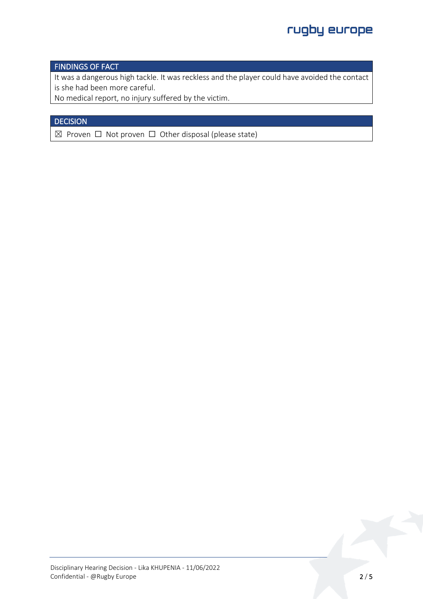#### FINDINGS OF FACT

It was a dangerous high tackle. It was reckless and the player could have avoided the contact is she had been more careful.

No medical report, no injury suffered by the victim.

## **DECISION**

 $\boxtimes$  Proven  $\Box$  Not proven  $\Box$  Other disposal (please state)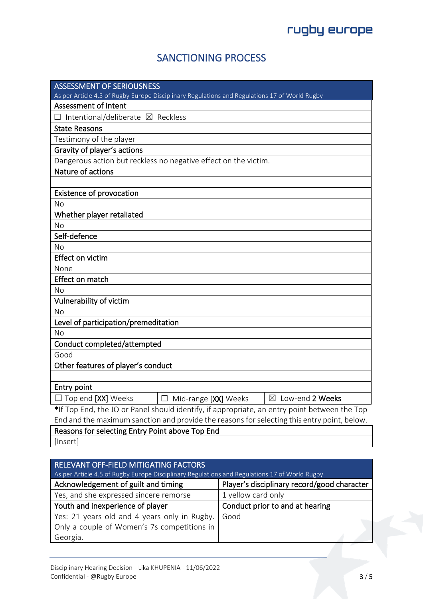# SANCTIONING PROCESS

| <b>ASSESSMENT OF SERIOUSNESS</b>                                                              |                             |                   |
|-----------------------------------------------------------------------------------------------|-----------------------------|-------------------|
| As per Article 4.5 of Rugby Europe Disciplinary Regulations and Regulations 17 of World Rugby |                             |                   |
| <b>Assessment of Intent</b>                                                                   |                             |                   |
| $\Box$ Intentional/deliberate $\boxtimes$ Reckless                                            |                             |                   |
| <b>State Reasons</b>                                                                          |                             |                   |
| Testimony of the player                                                                       |                             |                   |
| Gravity of player's actions                                                                   |                             |                   |
| Dangerous action but reckless no negative effect on the victim.                               |                             |                   |
| Nature of actions                                                                             |                             |                   |
|                                                                                               |                             |                   |
| <b>Existence of provocation</b>                                                               |                             |                   |
| No                                                                                            |                             |                   |
| Whether player retaliated                                                                     |                             |                   |
| No                                                                                            |                             |                   |
| Self-defence                                                                                  |                             |                   |
| No                                                                                            |                             |                   |
| Effect on victim                                                                              |                             |                   |
| None                                                                                          |                             |                   |
| Effect on match                                                                               |                             |                   |
| No                                                                                            |                             |                   |
| Vulnerability of victim                                                                       |                             |                   |
| Νo                                                                                            |                             |                   |
| Level of participation/premeditation                                                          |                             |                   |
| No                                                                                            |                             |                   |
| Conduct completed/attempted                                                                   |                             |                   |
| Good                                                                                          |                             |                   |
| Other features of player's conduct                                                            |                             |                   |
|                                                                                               |                             |                   |
| Entry point                                                                                   |                             |                   |
| $\Box$ Top end [XX] Weeks                                                                     | $\Box$ Mid-range [XX] Weeks | ⊠ Low-end 2 Weeks |
| *If Top End, the JO or Panel should identify, if appropriate, an entry point between the Top  |                             |                   |
| End and the maximum sanction and provide the reasons for selecting this entry point, below.   |                             |                   |
| Reasons for selecting Entry Point above Top End                                               |                             |                   |

[Insert]

| RELEVANT OFF-FIELD MITIGATING FACTORS<br>As per Article 4.5 of Rugby Europe Disciplinary Regulations and Regulations 17 of World Rugby |                                             |  |
|----------------------------------------------------------------------------------------------------------------------------------------|---------------------------------------------|--|
| Acknowledgement of guilt and timing                                                                                                    | Player's disciplinary record/good character |  |
| Yes, and she expressed sincere remorse                                                                                                 | 1 yellow card only                          |  |
| Youth and inexperience of player                                                                                                       | Conduct prior to and at hearing             |  |
| Yes: 21 years old and 4 years only in Rugby.                                                                                           | Good                                        |  |
| Only a couple of Women's 7s competitions in                                                                                            |                                             |  |
| Georgia.                                                                                                                               |                                             |  |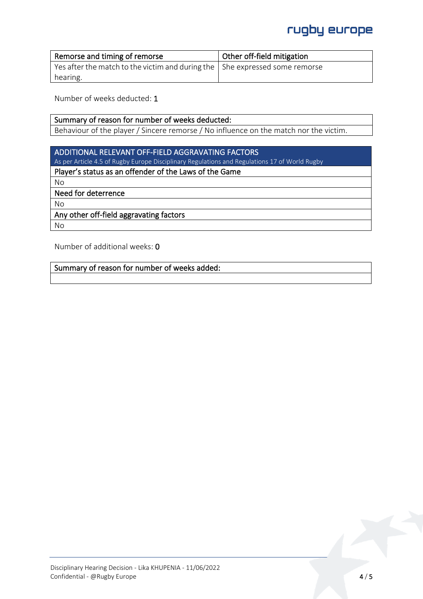# rugby europe

| Remorse and timing of remorse                                                       | Other off-field mitigation |
|-------------------------------------------------------------------------------------|----------------------------|
| Yes after the match to the victim and during the $\vert$ She expressed some remorse |                            |
| hearing.                                                                            |                            |

Number of weeks deducted: 1

#### Summary of reason for number of weeks deducted: Behaviour of the player / Sincere remorse / No influence on the match nor the victim.

## ADDITIONAL RELEVANT OFF-FIELD AGGRAVATING FACTORS

As per Article 4.5 of Rugby Europe Disciplinary Regulations and Regulations 17 of World Rugby

## Player's status as an offender of the Laws of the Game

No

#### Need for deterrence

No

## Any other off-field aggravating factors

No

Number of additional weeks: 0

#### Summary of reason for number of weeks added: